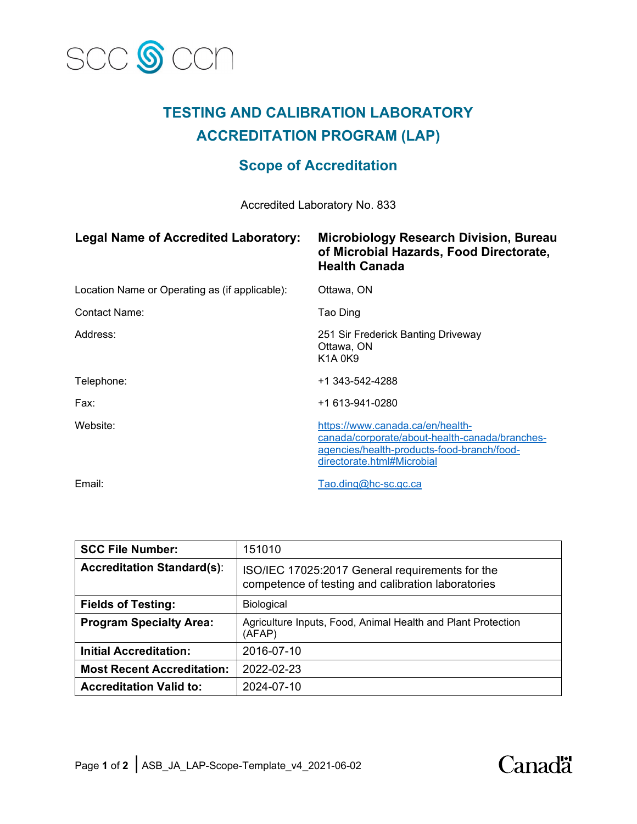

# **TESTING AND CALIBRATION LABORATORY ACCREDITATION PROGRAM (LAP)**

## **Scope of Accreditation**

Accredited Laboratory No. 833

| <b>Legal Name of Accredited Laboratory:</b>    | Microbiology Research Division, Bureau<br>of Microbial Hazards, Food Directorate,<br><b>Health Canada</b>                                                      |
|------------------------------------------------|----------------------------------------------------------------------------------------------------------------------------------------------------------------|
| Location Name or Operating as (if applicable): | Ottawa, ON                                                                                                                                                     |
| Contact Name:                                  | Tao Ding                                                                                                                                                       |
| Address:                                       | 251 Sir Frederick Banting Driveway<br>Ottawa, ON<br><b>K1A0K9</b>                                                                                              |
| Telephone:                                     | +1 343-542-4288                                                                                                                                                |
| Fax:                                           | +1 613-941-0280                                                                                                                                                |
| Website:                                       | https://www.canada.ca/en/health-<br>canada/corporate/about-health-canada/branches-<br>agencies/health-products-food-branch/food-<br>directorate.html#Microbial |
| Email:                                         | Tao.ding@hc-sc.gc.ca                                                                                                                                           |

| <b>SCC File Number:</b>           | 151010                                                                                                |
|-----------------------------------|-------------------------------------------------------------------------------------------------------|
| <b>Accreditation Standard(s):</b> | ISO/IEC 17025:2017 General requirements for the<br>competence of testing and calibration laboratories |
| <b>Fields of Testing:</b>         | Biological                                                                                            |
| <b>Program Specialty Area:</b>    | Agriculture Inputs, Food, Animal Health and Plant Protection<br>(AFAP)                                |
| <b>Initial Accreditation:</b>     | 2016-07-10                                                                                            |
| <b>Most Recent Accreditation:</b> | 2022-02-23                                                                                            |
| <b>Accreditation Valid to:</b>    | 2024-07-10                                                                                            |